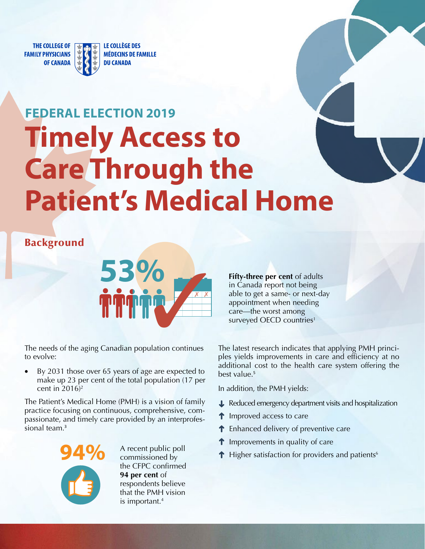

LE COLLÈGE DES **MÉDECINS DE FAMILLE DU CANADA** 

# **FEDERAL ELECTION 2019 Timely Access to Care Through the Patient's Medical Home**

## Background



make up 23 per cent of the total population (17 per cent in 2016)<sup>2</sup> In addition, the PMH yields:

The Patient's Medical Home (PMH) is a vision of family<br>practice focusing on continuous, comprehensive, com-<br>passionate, and timely care provided by an interprofes-<br>**1** Improved access to care sional team.<sup>3</sup> Enhanced delivery of preventive care



commissioned by the CFPC confirmed **94 per cent** of respondents believe that the PMH vision is important.4

in Canada report not being able to get a same- or next-day appointment when needing care—the worst among surveyed OECD countries<sup>1</sup>

The needs of the aging Canadian population continues The latest research indicates that applying PMH princito evolve:<br>
ples yields improvements in care and efficiency at no By 2031 those over 65 years of age are expected to  $By$  additional cost to the health care system offering the best value.<sup>5</sup>

- L Reduced emergency department visits and hospitalization
- 
- ↑ ↑ ↑ ↑
- 
- **940** A recent public poll **1** Improvements in quality of care<br>**940** A recent public poll **1** Higher satisfaction for providers and patients **6**